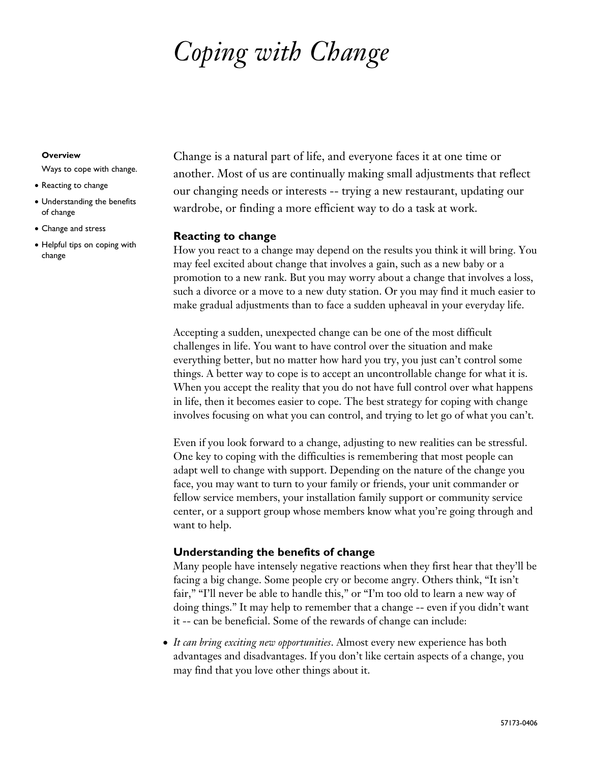# *Coping with Change*

#### **Overview**

Ways to cope with change.

- Reacting to change
- Understanding the benefits of change
- Change and stress
- Helpful tips on coping with change

Change is a natural part of life, and everyone faces it at one time or another. Most of us are continually making small adjustments that reflect our changing needs or interests -- trying a new restaurant, updating our wardrobe, or finding a more efficient way to do a task at work.

#### **Reacting to change**

How you react to a change may depend on the results you think it will bring. You may feel excited about change that involves a gain, such as a new baby or a promotion to a new rank. But you may worry about a change that involves a loss, such a divorce or a move to a new duty station. Or you may find it much easier to make gradual adjustments than to face a sudden upheaval in your everyday life.

Accepting a sudden, unexpected change can be one of the most difficult challenges in life. You want to have control over the situation and make everything better, but no matter how hard you try, you just can't control some things. A better way to cope is to accept an uncontrollable change for what it is. When you accept the reality that you do not have full control over what happens in life, then it becomes easier to cope. The best strategy for coping with change involves focusing on what you can control, and trying to let go of what you can't.

Even if you look forward to a change, adjusting to new realities can be stressful. One key to coping with the difficulties is remembering that most people can adapt well to change with support. Depending on the nature of the change you face, you may want to turn to your family or friends, your unit commander or fellow service members, your installation family support or community service center, or a support group whose members know what you're going through and want to help.

# **Understanding the benefits of change**

Many people have intensely negative reactions when they first hear that they'll be facing a big change. Some people cry or become angry. Others think, "It isn't fair," "I'll never be able to handle this," or "I'm too old to learn a new way of doing things." It may help to remember that a change -- even if you didn't want it -- can be beneficial. Some of the rewards of change can include:

• *It can bring exciting new opportunities*. Almost every new experience has both advantages and disadvantages. If you don't like certain aspects of a change, you may find that you love other things about it.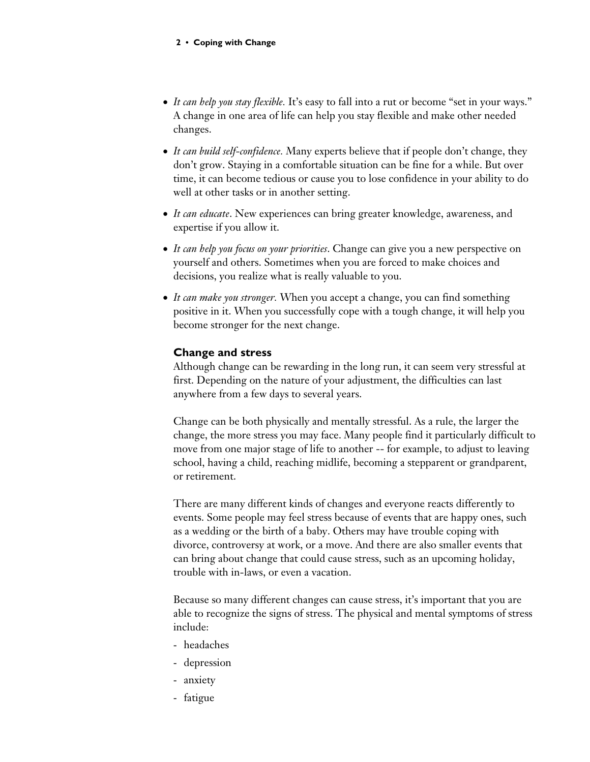- *It can help you stay flexible.* It's easy to fall into a rut or become "set in your ways." A change in one area of life can help you stay flexible and make other needed changes.
- *It can build self-confidence.* Many experts believe that if people don't change, they don't grow. Staying in a comfortable situation can be fine for a while. But over time, it can become tedious or cause you to lose confidence in your ability to do well at other tasks or in another setting.
- *It can educate*. New experiences can bring greater knowledge, awareness, and expertise if you allow it.
- *It can help you focus on your priorities*. Change can give you a new perspective on yourself and others. Sometimes when you are forced to make choices and decisions, you realize what is really valuable to you.
- *It can make you stronger.* When you accept a change, you can find something positive in it. When you successfully cope with a tough change, it will help you become stronger for the next change.

# **Change and stress**

Although change can be rewarding in the long run, it can seem very stressful at first. Depending on the nature of your adjustment, the difficulties can last anywhere from a few days to several years.

Change can be both physically and mentally stressful. As a rule, the larger the change, the more stress you may face. Many people find it particularly difficult to move from one major stage of life to another -- for example, to adjust to leaving school, having a child, reaching midlife, becoming a stepparent or grandparent, or retirement.

There are many different kinds of changes and everyone reacts differently to events. Some people may feel stress because of events that are happy ones, such as a wedding or the birth of a baby. Others may have trouble coping with divorce, controversy at work, or a move. And there are also smaller events that can bring about change that could cause stress, such as an upcoming holiday, trouble with in-laws, or even a vacation.

Because so many different changes can cause stress, it's important that you are able to recognize the signs of stress. The physical and mental symptoms of stress include:

- headaches
- depression
- anxiety
- fatigue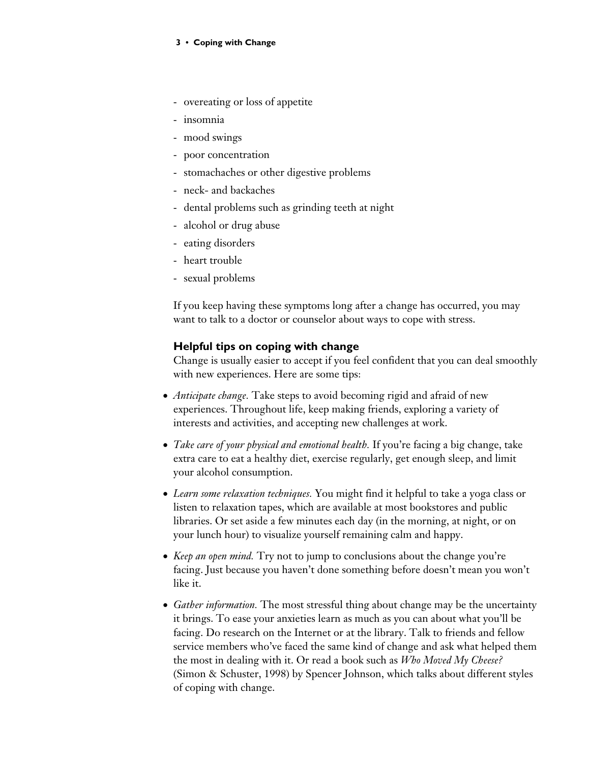#### **3** z **Coping with Change**

- overeating or loss of appetite
- insomnia
- mood swings
- poor concentration
- stomachaches or other digestive problems
- neck- and backaches
- dental problems such as grinding teeth at night
- alcohol or drug abuse
- eating disorders
- heart trouble
- sexual problems

If you keep having these symptoms long after a change has occurred, you may want to talk to a doctor or counselor about ways to cope with stress.

#### **Helpful tips on coping with change**

Change is usually easier to accept if you feel confident that you can deal smoothly with new experiences. Here are some tips:

- *Anticipate change.* Take steps to avoid becoming rigid and afraid of new experiences. Throughout life, keep making friends, exploring a variety of interests and activities, and accepting new challenges at work.
- *Take care of your physical and emotional health.* If you're facing a big change, take extra care to eat a healthy diet, exercise regularly, get enough sleep, and limit your alcohol consumption.
- *Learn some relaxation techniques.* You might find it helpful to take a yoga class or listen to relaxation tapes, which are available at most bookstores and public libraries. Or set aside a few minutes each day (in the morning, at night, or on your lunch hour) to visualize yourself remaining calm and happy.
- *Keep an open mind.* Try not to jump to conclusions about the change you're facing. Just because you haven't done something before doesn't mean you won't like it.
- *Gather information.* The most stressful thing about change may be the uncertainty it brings. To ease your anxieties learn as much as you can about what you'll be facing. Do research on the Internet or at the library. Talk to friends and fellow service members who've faced the same kind of change and ask what helped them the most in dealing with it. Or read a book such as *Who Moved My Cheese?* (Simon & Schuster, 1998) by Spencer Johnson, which talks about different styles of coping with change.